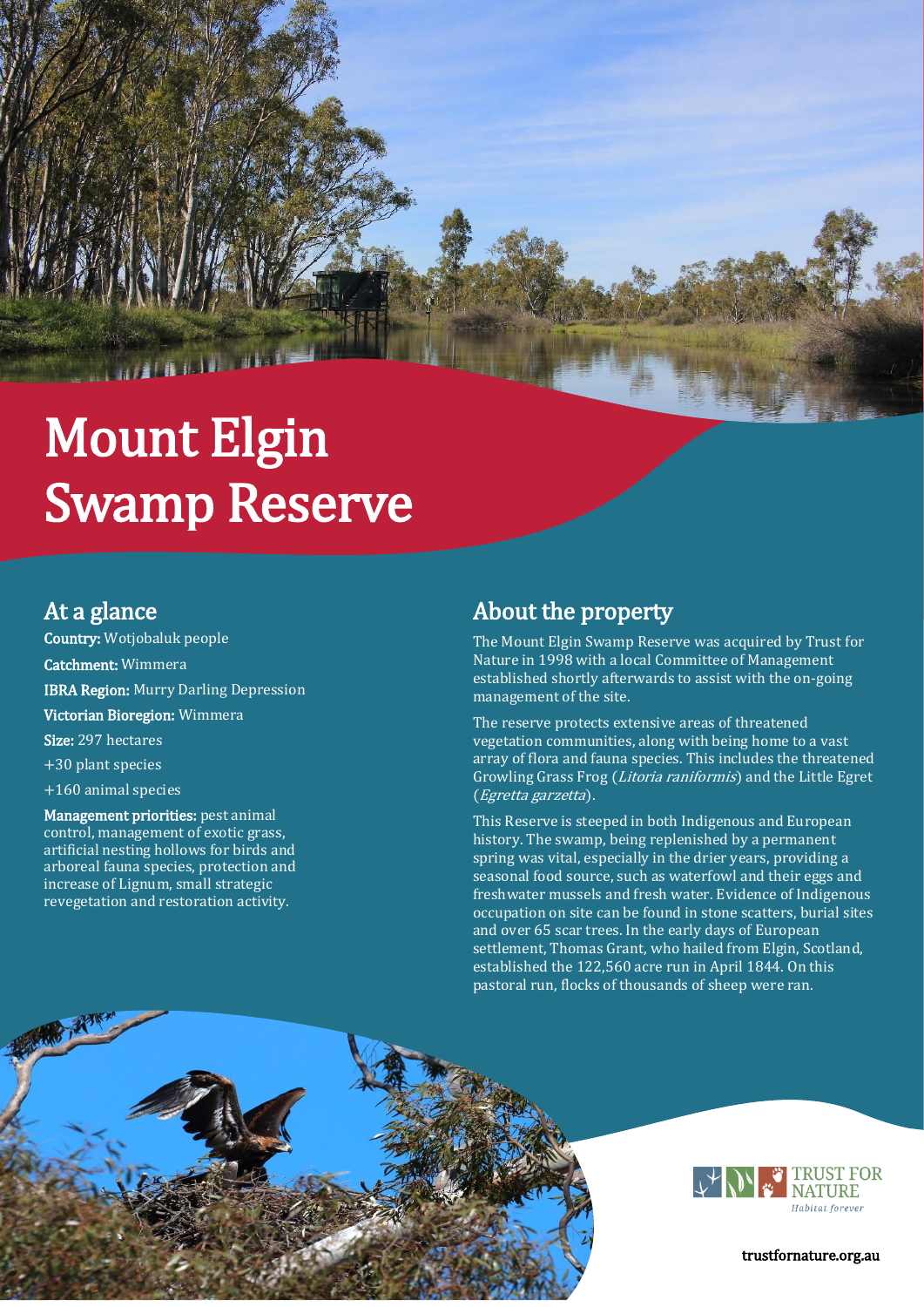# Mount Elgin Swamp Reserve

## At a glance

**Country:** Wotjobaluk people Catchment: Wimmera IBRA Region: Murry Darling Depression Victorian Bioregion: Wimmera Size: 297 hectares +30 plant species

+160 animal species

Management priorities: pest animal control, management of exotic grass, artificial nesting hollows for birds and arboreal fauna species, protection and increase of Lignum, small strategic revegetation and restoration activity.

### About the property

The Mount Elgin Swamp Reserve was acquired by Trust for Nature in 1998 with a local Committee of Management established shortly afterwards to assist with the on-going management of the site.

The reserve protects extensive areas of threatened vegetation communities, along with being home to a vast array of flora and fauna species. This includes the threatened Growling Grass Frog (Litoria raniformis) and the Little Egret (Egretta garzetta).

This Reserve is steeped in both Indigenous and European history. The swamp, being replenished by a permanent spring was vital, especially in the drier years, providing a seasonal food source, such as waterfowl and their eggs and freshwater mussels and fresh water. Evidence of Indigenous occupation on site can be found in stone scatters, burial sites and over 65 scar trees. In the early days of European settlement, Thomas Grant, who hailed from Elgin, Scotland, established the 122,560 acre run in April 1844. On this pastoral run, flocks of thousands of sheep were ran.





trustfornature.org.au